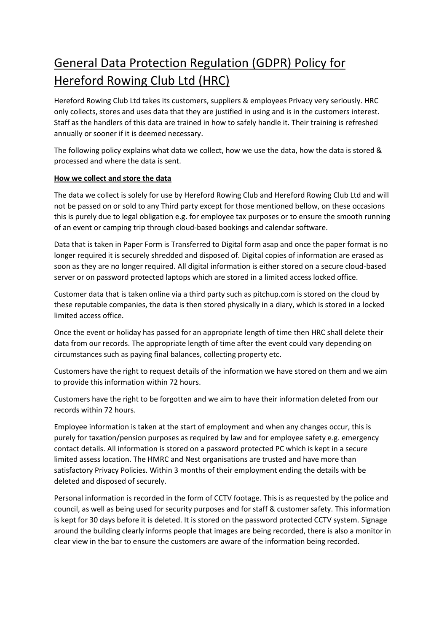## General Data Protection Regulation (GDPR) Policy for Hereford Rowing Club Ltd (HRC)

Hereford Rowing Club Ltd takes its customers, suppliers & employees Privacy very seriously. HRC only collects, stores and uses data that they are justified in using and is in the customers interest. Staff as the handlers of this data are trained in how to safely handle it. Their training is refreshed annually or sooner if it is deemed necessary.

The following policy explains what data we collect, how we use the data, how the data is stored & processed and where the data is sent.

## **How we collect and store the data**

The data we collect is solely for use by Hereford Rowing Club and Hereford Rowing Club Ltd and will not be passed on or sold to any Third party except for those mentioned bellow, on these occasions this is purely due to legal obligation e.g. for employee tax purposes or to ensure the smooth running of an event or camping trip through cloud-based bookings and calendar software.

Data that is taken in Paper Form is Transferred to Digital form asap and once the paper format is no longer required it is securely shredded and disposed of. Digital copies of information are erased as soon as they are no longer required. All digital information is either stored on a secure cloud-based server or on password protected laptops which are stored in a limited access locked office.

Customer data that is taken online via a third party such as pitchup.com is stored on the cloud by these reputable companies, the data is then stored physically in a diary, which is stored in a locked limited access office.

Once the event or holiday has passed for an appropriate length of time then HRC shall delete their data from our records. The appropriate length of time after the event could vary depending on circumstances such as paying final balances, collecting property etc.

Customers have the right to request details of the information we have stored on them and we aim to provide this information within 72 hours.

Customers have the right to be forgotten and we aim to have their information deleted from our records within 72 hours.

Employee information is taken at the start of employment and when any changes occur, this is purely for taxation/pension purposes as required by law and for employee safety e.g. emergency contact details. All information is stored on a password protected PC which is kept in a secure limited assess location. The HMRC and Nest organisations are trusted and have more than satisfactory Privacy Policies. Within 3 months of their employment ending the details with be deleted and disposed of securely.

Personal information is recorded in the form of CCTV footage. This is as requested by the police and council, as well as being used for security purposes and for staff & customer safety. This information is kept for 30 days before it is deleted. It is stored on the password protected CCTV system. Signage around the building clearly informs people that images are being recorded, there is also a monitor in clear view in the bar to ensure the customers are aware of the information being recorded.